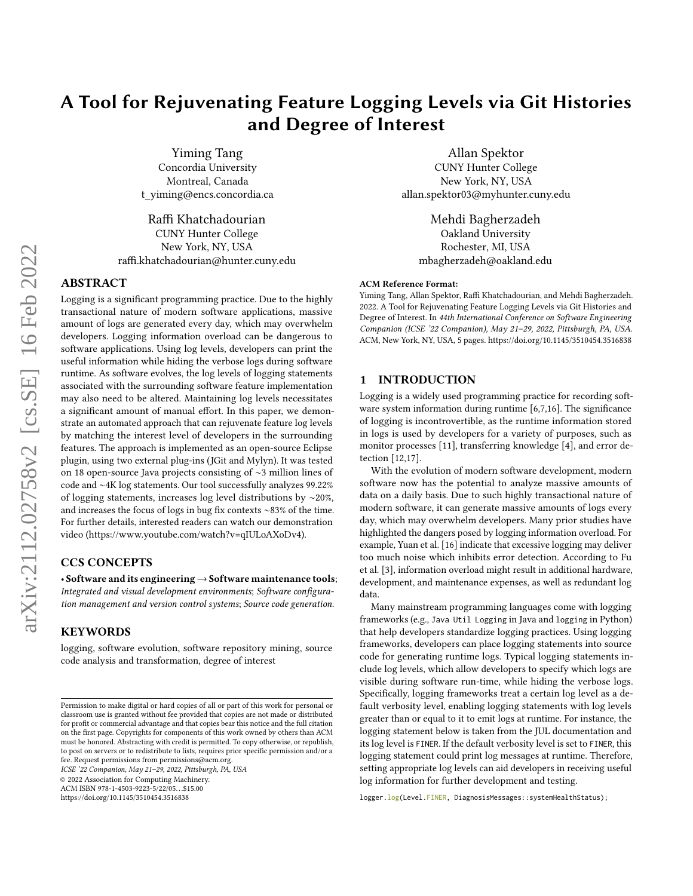# A Tool for Rejuvenating Feature Logging Levels via Git Histories and Degree of Interest

[Yiming Tang](https://orcid.org/0000-0003-2378-8972) Concordia University Montreal, Canada t\_yiming@encs.concordia.ca

[Raffi Khatchadourian](https://orcid.org/0000-0002-7930-0182) CUNY Hunter College New York, NY, USA raffi.khatchadourian@hunter.cuny.edu

## ABSTRACT

Logging is a significant programming practice. Due to the highly transactional nature of modern software applications, massive amount of logs are generated every day, which may overwhelm developers. Logging information overload can be dangerous to software applications. Using log levels, developers can print the useful information while hiding the verbose logs during software runtime. As software evolves, the log levels of logging statements associated with the surrounding software feature implementation may also need to be altered. Maintaining log levels necessitates a significant amount of manual effort. In this paper, we demonstrate an automated approach that can rejuvenate feature log levels by matching the interest level of developers in the surrounding features. The approach is implemented as an open-source Eclipse plugin, using two external plug-ins (JGit and Mylyn). It was tested on 18 open-source Java projects consisting of ∼3 million lines of code and ∼4K log statements. Our tool successfully analyzes 99.22% of logging statements, increases log level distributions by ∼20%, and increases the focus of logs in bug fix contexts ∼83% of the time. For further details, interested readers can watch our demonstration video [\(https://www.youtube.com/watch?v=qIULoAXoDv4\)](https://www.youtube.com/watch?v=qIULoAXoDv4).

# CCS CONCEPTS

• Software and its engineering→Software maintenance tools; Integrated and visual development environments; Software configuration management and version control systems; Source code generation.

## KEYWORDS

logging, software evolution, software repository mining, source code analysis and transformation, degree of interest

ICSE '22 Companion, May 21–29, 2022, Pittsburgh, PA, USA

© 2022 Association for Computing Machinery.

ACM ISBN 978-1-4503-9223-5/22/05. . .\$15.00

<https://doi.org/10.1145/3510454.3516838>

Allan Spektor CUNY Hunter College New York, NY, USA allan.spektor03@myhunter.cuny.edu

Mehdi Bagherzadeh Oakland University Rochester, MI, USA mbagherzadeh@oakland.edu

#### ACM Reference Format:

Yiming Tang, Allan Spektor, Raffi Khatchadourian, and Mehdi Bagherzadeh. 2022. A Tool for Rejuvenating Feature Logging Levels via Git Histories and Degree of Interest. In 44th International Conference on Software Engineering Companion (ICSE '22 Companion), May 21–29, 2022, Pittsburgh, PA, USA. ACM, New York, NY, USA, [5](#page-4-0) pages.<https://doi.org/10.1145/3510454.3516838>

## <span id="page-0-0"></span>1 INTRODUCTION

Logging is a widely used programming practice for recording software system information during runtime [\[6](#page-4-1)[,7,](#page-4-2)[16\]](#page-4-3). The significance of logging is incontrovertible, as the runtime information stored in logs is used by developers for a variety of purposes, such as monitor processes [\[11\]](#page-4-4), transferring knowledge [\[4\]](#page-4-5), and error detection [\[12](#page-4-6)[,17\]](#page-4-7).

With the evolution of modern software development, modern software now has the potential to analyze massive amounts of data on a daily basis. Due to such highly transactional nature of modern software, it can generate massive amounts of logs every day, which may overwhelm developers. Many prior studies have highlighted the dangers posed by logging information overload. For example, Yuan et al. [\[16\]](#page-4-3) indicate that excessive logging may deliver too much noise which inhibits error detection. According to Fu et al. [\[3\]](#page-4-8), information overload might result in additional hardware, development, and maintenance expenses, as well as redundant log data.

Many mainstream programming languages come with logging frameworks (e.g., [Java Util Logging](https://docs.oracle.com/en/java/javase/17/docs/api/java.logging/java/util/logging/package-summary.html) in Java and [logging](https://docs.python.org/3/library/logging.html) in Python) that help developers standardize logging practices. Using logging frameworks, developers can place logging statements into source code for generating runtime logs. Typical logging statements include log levels, which allow developers to specify which logs are visible during software run-time, while hiding the verbose logs. Specifically, logging frameworks treat a certain log level as a default verbosity level, enabling logging statements with log levels greater than or equal to it to emit logs at runtime. For instance, the logging statement below is taken from the [JUL documentation](https://docs.oracle.com/en/java/javase/17/docs/api/java.logging/java/util/logging/Logger.html) and its log level is FINER. If the default verbosity level is set to FINER, this logging statement could print log messages at runtime. Therefore, setting appropriate log levels can aid developers in receiving useful log information for further development and testing.

logger.log(Level.FINER, DiagnosisMessages::systemHealthStatus);

Permission to make digital or hard copies of all or part of this work for personal or classroom use is granted without fee provided that copies are not made or distributed for profit or commercial advantage and that copies bear this notice and the full citation on the first page. Copyrights for components of this work owned by others than ACM must be honored. Abstracting with credit is permitted. To copy otherwise, or republish, to post on servers or to redistribute to lists, requires prior specific permission and/or a fee. Request permissions from permissions@acm.org.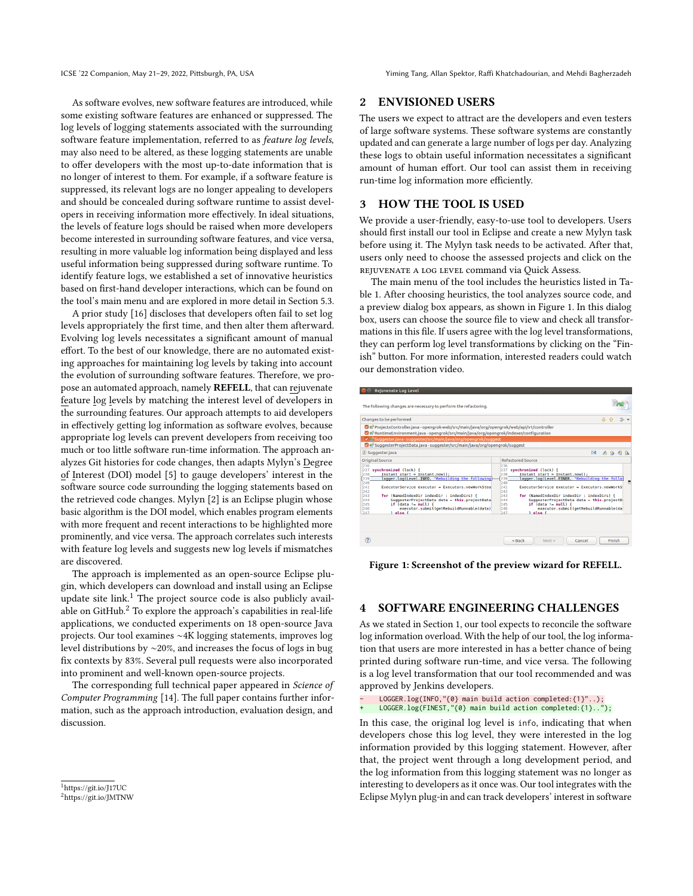ICSE '22 Companion, May 21–29, 2022, Pittsburgh, PA, USA Yiming Tang, Allan Spektor, Raffi Khatchadourian, and Mehdi Bagherzadeh

As software evolves, new software features are introduced, while some existing software features are enhanced or suppressed. The log levels of logging statements associated with the surrounding software feature implementation, referred to as feature log levels, may also need to be altered, as these logging statements are unable to offer developers with the most up-to-date information that is no longer of interest to them. For example, if a software feature is suppressed, its relevant logs are no longer appealing to developers and should be concealed during software runtime to assist developers in receiving information more effectively. In ideal situations, the levels of feature logs should be raised when more developers become interested in surrounding software features, and vice versa, resulting in more valuable log information being displayed and less useful information being suppressed during software runtime. To identify feature logs, we established a set of innovative heuristics based on first-hand developer interactions, which can be found on the tool's main menu and are explored in more detail in Section [5.3.](#page-2-0)

A prior study [\[16\]](#page-4-3) discloses that developers often fail to set log levels appropriately the first time, and then alter them afterward. Evolving log levels necessitates a significant amount of manual effort. To the best of our knowledge, there are no automated existing approaches for maintaining log levels by taking into account the evolution of surrounding software features. Therefore, we propose an automated approach, namely REFELL, that can rejuvenate feature log levels by matching the interest level of developers in the surrounding features. Our approach attempts to aid developers in effectively getting log information as software evolves, because appropriate log levels can prevent developers from receiving too much or too little software run-time information. The approach analyzes Git histories for code changes, then adapts Mylyn's Degree of Interest (DOI) model [\[5\]](#page-4-9) to gauge developers' interest in the software source code surrounding the logging statements based on the retrieved code changes. Mylyn [\[2\]](#page-4-10) is an Eclipse plugin whose basic algorithm is the DOI model, which enables program elements with more frequent and recent interactions to be highlighted more prominently, and vice versa. The approach correlates such interests with feature log levels and suggests new log levels if mismatches are discovered.

The approach is implemented as an open-source Eclipse plugin, which developers can download and install using an Eclipse update site link.<sup>[1](#page-1-0)</sup> The project source code is also publicly available on GitHub. $2$  To explore the approach's capabilities in real-life applications, we conducted experiments on 18 open-source Java projects. Our tool examines ∼4K logging statements, improves log level distributions by ∼20%, and increases the focus of logs in bug fix contexts by 83%. Several pull requests were also incorporated into prominent and well-known open-source projects.

The corresponding full technical paper appeared in Science of Computer Programming [\[14\]](#page-4-11). The full paper contains further information, such as the approach introduction, evaluation design, and discussion.

#### 2 ENVISIONED USERS

The users we expect to attract are the developers and even testers of large software systems. These software systems are constantly updated and can generate a large number of logs per day. Analyzing these logs to obtain useful information necessitates a significant amount of human effort. Our tool can assist them in receiving run-time log information more efficiently.

## 3 HOW THE TOOL IS USED

We provide a user-friendly, easy-to-use tool to developers. Users should first install our tool in Eclipse and create a new Mylyn task before using it. The Mylyn task needs to be activated. After that, users only need to choose the assessed projects and click on the REJUVENATE A LOG LEVEL command via Quick Assess.

The main menu of the tool includes the heuristics listed in Table [1.](#page-3-0) After choosing heuristics, the tool analyzes source code, and a preview dialog box appears, as shown in Figure [1.](#page-1-2) In this dialog box, users can choose the source file to view and check all transformations in this file. If users agree with the log level transformations, they can perform log level transformations by clicking on the "Finish" button. For more information, interested readers could watch our demonstration video.

<span id="page-1-2"></span>

Figure 1: Screenshot of the preview wizard for REFELL.

## 4 SOFTWARE ENGINEERING CHALLENGES

As we stated in Section [1,](#page-0-0) our tool expects to reconcile the software log information overload. With the help of our tool, the log information that users are more interested in has a better chance of being printed during software run-time, and vice versa. The following is a log level transformation that our tool recommended and was approved by [Jenkins](https://github.com/jenkinsci/jenkins) developers.

LOGGER.log(INFO,"{0} main build action completed:{1}"..); LOGGER.log(FINEST,"{0} main build action completed:{1}..");

In this case, the original log level is info, indicating that when developers chose this log level, they were interested in the log information provided by this logging statement. However, after that, the project went through a long development period, and the log information from this logging statement was no longer as interesting to developers as it once was. Our tool integrates with the Eclipse Mylyn plug-in and can track developers' interest in software

<span id="page-1-0"></span><sup>1</sup><https://git.io/J17UC>

<span id="page-1-1"></span><sup>2</sup><https://git.io/JMTNW>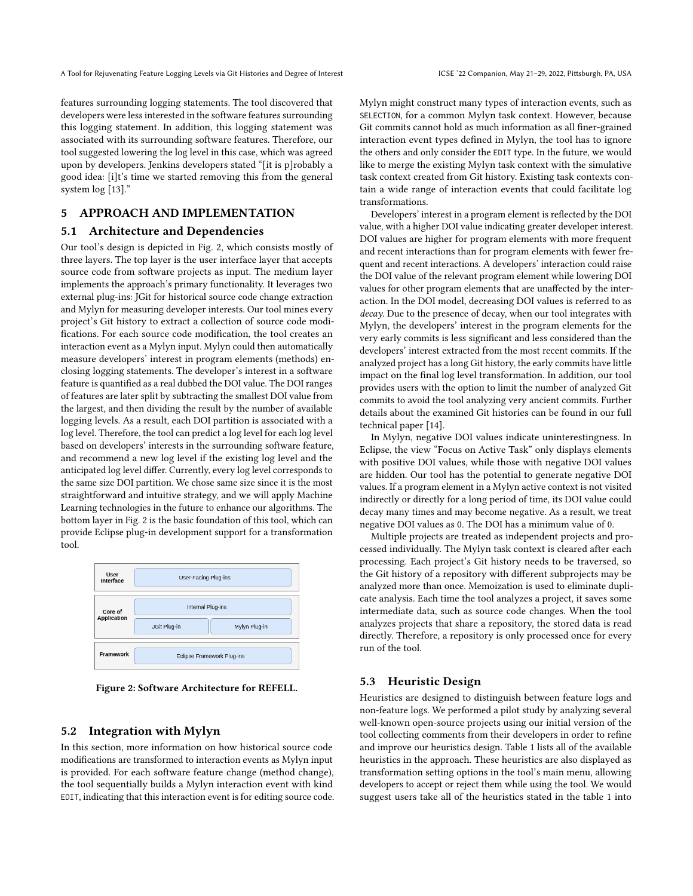A Tool for Rejuvenating Feature Logging Levels via Git Histories and Degree of Interest ICSE '22 Companion, May 21-29, 2022, Pittsburgh, PA, USA

features surrounding logging statements. The tool discovered that developers were less interested in the software features surrounding this logging statement. In addition, this logging statement was associated with its surrounding software features. Therefore, our tool suggested lowering the log level in this case, which was agreed upon by developers. [Jenkins](https://github.com/jenkinsci/jenkins) developers stated "[it is p]robably a good idea: [i]t's time we started removing this from the general system log [\[13\]](#page-4-12)."

# 5 APPROACH AND IMPLEMENTATION

### 5.1 Architecture and Dependencies

Our tool's design is depicted in Fig. [2,](#page-2-1) which consists mostly of three layers. The top layer is the user interface layer that accepts source code from software projects as input. The medium layer implements the approach's primary functionality. It leverages two external plug-ins: JGit for historical source code change extraction and Mylyn for measuring developer interests. Our tool mines every project's Git history to extract a collection of source code modifications. For each source code modification, the tool creates an interaction event as a Mylyn input. Mylyn could then automatically measure developers' interest in program elements (methods) enclosing logging statements. The developer's interest in a software feature is quantified as a real dubbed the DOI value. The DOI ranges of features are later split by subtracting the smallest DOI value from the largest, and then dividing the result by the number of available logging levels. As a result, each DOI partition is associated with a log level. Therefore, the tool can predict a log level for each log level based on developers' interests in the surrounding software feature, and recommend a new log level if the existing log level and the anticipated log level differ. Currently, every log level corresponds to the same size DOI partition. We chose same size since it is the most straightforward and intuitive strategy, and we will apply Machine Learning technologies in the future to enhance our algorithms. The bottom layer in Fig. [2](#page-2-1) is the basic foundation of this tool, which can provide Eclipse plug-in development support for a transformation tool.

<span id="page-2-1"></span>

| User<br>Interface             | User-Facing Plug-ins              |
|-------------------------------|-----------------------------------|
| Core of<br><b>Application</b> | Internal Plug-ins                 |
|                               | JGit Plug-in<br>Mylyn Plug-in     |
| <b>Framework</b>              | <b>Eclipse Framework Plug-ins</b> |

Figure 2: Software Architecture for REFELL.

## 5.2 Integration with Mylyn

In this section, more information on how historical source code modifications are transformed to interaction events as Mylyn input is provided. For each software feature change (method change), the tool sequentially builds a Mylyn interaction event with kind EDIT, indicating that this interaction event is for editing source code.

Mylyn might construct many types of interaction events, such as SELECTION, for a common Mylyn task context. However, because Git commits cannot hold as much information as all finer-grained interaction event types defined in Mylyn, the tool has to ignore the others and only consider the EDIT type. In the future, we would like to merge the existing Mylyn task context with the simulative task context created from Git history. Existing task contexts contain a wide range of interaction events that could facilitate log transformations.

Developers' interest in a program element is reflected by the DOI value, with a higher DOI value indicating greater developer interest. DOI values are higher for program elements with more frequent and recent interactions than for program elements with fewer frequent and recent interactions. A developers' interaction could raise the DOI value of the relevant program element while lowering DOI values for other program elements that are unaffected by the interaction. In the DOI model, decreasing DOI values is referred to as decay. Due to the presence of decay, when our tool integrates with Mylyn, the developers' interest in the program elements for the very early commits is less significant and less considered than the developers' interest extracted from the most recent commits. If the analyzed project has a long Git history, the early commits have little impact on the final log level transformation. In addition, our tool provides users with the option to limit the number of analyzed Git commits to avoid the tool analyzing very ancient commits. Further details about the examined Git histories can be found in our full technical paper [\[14\]](#page-4-11).

In Mylyn, negative DOI values indicate uninterestingness. In Eclipse, the view "Focus on Active Task" only displays elements with positive DOI values, while those with negative DOI values are hidden. Our tool has the potential to generate negative DOI values. If a program element in a Mylyn active context is not visited indirectly or directly for a long period of time, its DOI value could decay many times and may become negative. As a result, we treat negative DOI values as 0. The DOI has a minimum value of 0.

Multiple projects are treated as independent projects and processed individually. The Mylyn task context is cleared after each processing. Each project's Git history needs to be traversed, so the Git history of a repository with different subprojects may be analyzed more than once. Memoization is used to eliminate duplicate analysis. Each time the tool analyzes a project, it saves some intermediate data, such as source code changes. When the tool analyzes projects that share a repository, the stored data is read directly. Therefore, a repository is only processed once for every run of the tool.

## <span id="page-2-0"></span>5.3 Heuristic Design

Heuristics are designed to distinguish between feature logs and non-feature logs. We performed a pilot study by analyzing several well-known open-source projects using our initial version of the tool collecting comments from their developers in order to refine and improve our heuristics design. Table [1](#page-3-0) lists all of the available heuristics in the approach. These heuristics are also displayed as transformation setting options in the tool's main menu, allowing developers to accept or reject them while using the tool. We would suggest users take all of the heuristics stated in the table [1](#page-3-0) into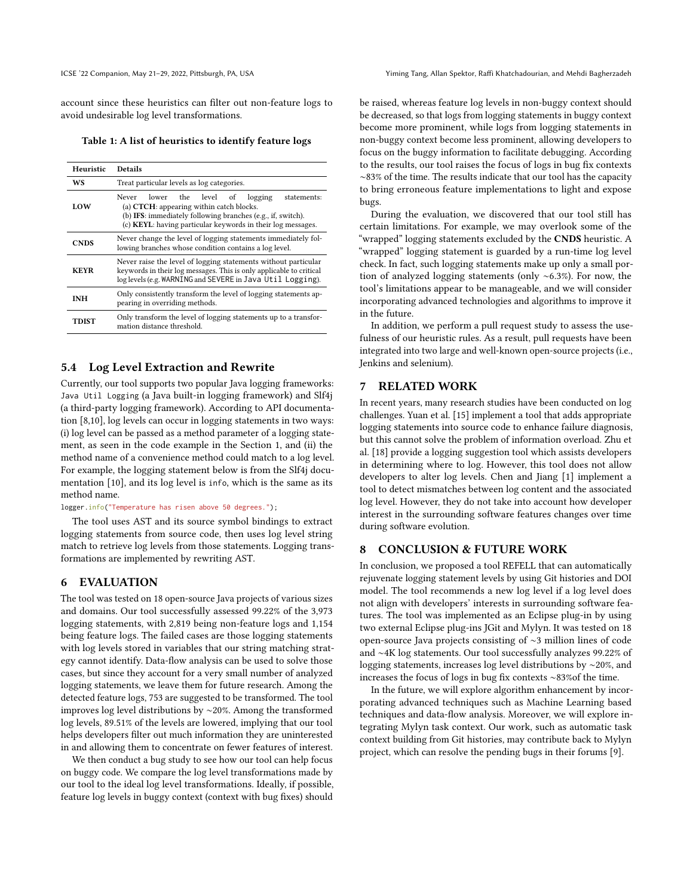account since these heuristics can filter out non-feature logs to avoid undesirable log level transformations.

<span id="page-3-0"></span>Table 1: A list of heuristics to identify feature logs

| Heuristic   | <b>Details</b>                                                                                                                                                                                                               |
|-------------|------------------------------------------------------------------------------------------------------------------------------------------------------------------------------------------------------------------------------|
| WS          | Treat particular levels as log categories.                                                                                                                                                                                   |
| LOW         | lower the level of logging<br>statements:<br>Never<br>(a) CTCH: appearing within catch blocks.<br>(b) IFS: immediately following branches (e.g., if, switch).<br>(c) KEYL: having particular keywords in their log messages. |
| <b>CNDS</b> | Never change the level of logging statements immediately fol-<br>lowing branches whose condition contains a log level.                                                                                                       |
| <b>KEYR</b> | Never raise the level of logging statements without particular<br>keywords in their log messages. This is only applicable to critical<br>log levels (e.g. WARNING and SEVERE in Java Util Logging).                          |
| INH         | Only consistently transform the level of logging statements ap-<br>pearing in overriding methods.                                                                                                                            |
| TDIST       | Only transform the level of logging statements up to a transfor-<br>mation distance threshold.                                                                                                                               |

#### 5.4 Log Level Extraction and Rewrite

Currently, our tool supports two popular Java logging frameworks: [Java Util Logging](https://docs.oracle.com/en/java/javase/17/docs/api/java.logging/java/util/logging/package-summary.html) (a Java built-in logging framework) and [Slf4j](http://www.slf4j.org/) (a third-party logging framework). According to API documentation [\[8,](#page-4-13)[10\]](#page-4-14), log levels can occur in logging statements in two ways: (i) log level can be passed as a method parameter of a logging statement, as seen in the code example in the Section [1,](#page-0-0) and (ii) the method name of a convenience method could match to a log level. For example, the logging statement below is from the Slf4j documentation [\[10\]](#page-4-14), and its log level is info, which is the same as its method name.

logger.info("Temperature has risen above 50 degrees.");

The tool uses AST and its source symbol bindings to extract logging statements from source code, then uses log level string match to retrieve log levels from those statements. Logging transformations are implemented by rewriting AST.

### 6 EVALUATION

The tool was tested on 18 open-source Java projects of various sizes and domains. Our tool successfully assessed 99.22% of the 3,973 logging statements, with 2,819 being non-feature logs and 1,154 being feature logs. The failed cases are those logging statements with log levels stored in variables that our string matching strategy cannot identify. Data-flow analysis can be used to solve those cases, but since they account for a very small number of analyzed logging statements, we leave them for future research. Among the detected feature logs, 753 are suggested to be transformed. The tool improves log level distributions by ∼20%. Among the transformed log levels, 89.51% of the levels are lowered, implying that our tool helps developers filter out much information they are uninterested in and allowing them to concentrate on fewer features of interest.

We then conduct a bug study to see how our tool can help focus on buggy code. We compare the log level transformations made by our tool to the ideal log level transformations. Ideally, if possible, feature log levels in buggy context (context with bug fixes) should be raised, whereas feature log levels in non-buggy context should be decreased, so that logs from logging statements in buggy context become more prominent, while logs from logging statements in non-buggy context become less prominent, allowing developers to focus on the buggy information to facilitate debugging. According to the results, our tool raises the focus of logs in bug fix contexts ∼83% of the time. The results indicate that our tool has the capacity to bring erroneous feature implementations to light and expose bugs.

During the evaluation, we discovered that our tool still has certain limitations. For example, we may overlook some of the "wrapped" logging statements excluded by the CNDS heuristic. A "wrapped" logging statement is guarded by a run-time log level check. In fact, such logging statements make up only a small portion of analyzed logging statements (only ∼6.3%). For now, the tool's limitations appear to be manageable, and we will consider incorporating advanced technologies and algorithms to improve it in the future.

In addition, we perform a pull request study to assess the usefulness of our heuristic rules. As a result, pull requests have been integrated into two large and well-known open-source projects (i.e., [Jenkins](https://github.com/jenkinsci/jenkins) and [selenium\)](https://github.com/SeleniumHQ/selenium).

## 7 RELATED WORK

In recent years, many research studies have been conducted on log challenges. Yuan et al. [\[15\]](#page-4-15) implement a tool that adds appropriate logging statements into source code to enhance failure diagnosis, but this cannot solve the problem of information overload. Zhu et al. [\[18\]](#page-4-16) provide a logging suggestion tool which assists developers in determining where to log. However, this tool does not allow developers to alter log levels. Chen and Jiang [\[1\]](#page-4-17) implement a tool to detect mismatches between log content and the associated log level. However, they do not take into account how developer interest in the surrounding software features changes over time during software evolution.

#### 8 CONCLUSION & FUTURE WORK

In conclusion, we proposed a tool REFELL that can automatically rejuvenate logging statement levels by using Git histories and DOI model. The tool recommends a new log level if a log level does not align with developers' interests in surrounding software features. The tool was implemented as an Eclipse plug-in by using two external Eclipse plug-ins JGit and Mylyn. It was tested on 18 open-source Java projects consisting of ∼3 million lines of code and ∼4K log statements. Our tool successfully analyzes 99.22% of logging statements, increases log level distributions by ∼20%, and increases the focus of logs in bug fix contexts ∼83%of the time.

In the future, we will explore algorithm enhancement by incorporating advanced techniques such as Machine Learning based techniques and data-flow analysis. Moreover, we will explore integrating Mylyn task context. Our work, such as automatic task context building from Git histories, may contribute back to Mylyn project, which can resolve the pending bugs in their forums [\[9\]](#page-4-18).